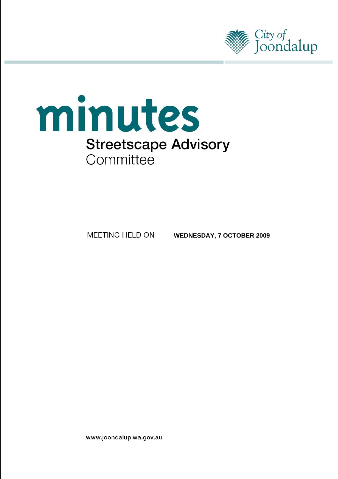



MEETING HELD ON

**WEDNESDAY, 7 OCTOBER 2009**

www.joondalup.wa.gov.au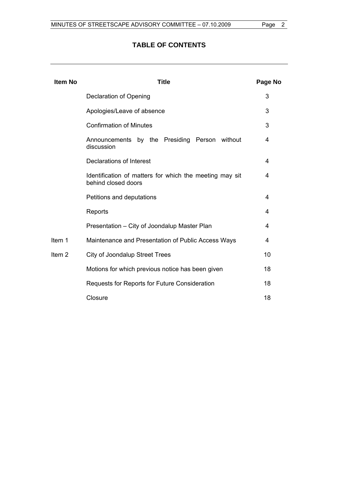# **TABLE OF CONTENTS**

| <b>Item No</b>    | <b>Title</b>                                                                   | Page No |  |  |  |  |  |
|-------------------|--------------------------------------------------------------------------------|---------|--|--|--|--|--|
|                   | Declaration of Opening                                                         | 3       |  |  |  |  |  |
|                   | Apologies/Leave of absence                                                     |         |  |  |  |  |  |
|                   | <b>Confirmation of Minutes</b>                                                 | 3       |  |  |  |  |  |
|                   | Announcements by the Presiding Person without<br>discussion                    | 4       |  |  |  |  |  |
|                   | <b>Declarations of Interest</b>                                                | 4       |  |  |  |  |  |
|                   | Identification of matters for which the meeting may sit<br>behind closed doors | 4       |  |  |  |  |  |
|                   | Petitions and deputations                                                      | 4       |  |  |  |  |  |
|                   | Reports                                                                        | 4       |  |  |  |  |  |
|                   | Presentation - City of Joondalup Master Plan                                   | 4       |  |  |  |  |  |
| Item 1            | Maintenance and Presentation of Public Access Ways                             | 4       |  |  |  |  |  |
| Item <sub>2</sub> | <b>City of Joondalup Street Trees</b>                                          | 10      |  |  |  |  |  |
|                   | Motions for which previous notice has been given                               | 18      |  |  |  |  |  |
|                   | Requests for Reports for Future Consideration                                  | 18      |  |  |  |  |  |
|                   | Closure                                                                        | 18      |  |  |  |  |  |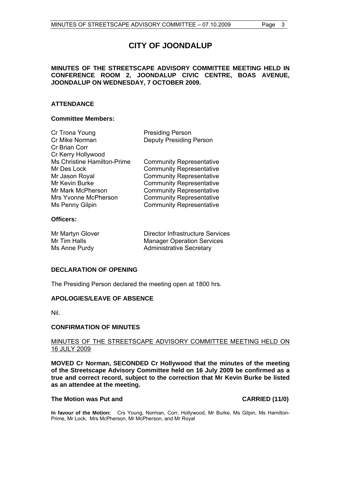# **CITY OF JOONDALUP**

# <span id="page-2-0"></span>**MINUTES OF THE STREETSCAPE ADVISORY COMMITTEE MEETING HELD IN CONFERENCE ROOM 2, JOONDALUP CIVIC CENTRE, BOAS AVENUE, JOONDALUP ON WEDNESDAY, 7 OCTOBER 2009.**

# **ATTENDANCE**

# **Committee Members:**

| Cr Trona Young              | <b>Presiding Person</b>         |
|-----------------------------|---------------------------------|
| Cr Mike Norman              | <b>Deputy Presiding Person</b>  |
| Cr Brian Corr               |                                 |
| Cr Kerry Hollywood          |                                 |
| Ms Christine Hamilton-Prime | <b>Community Representative</b> |
| Mr Des Lock                 | <b>Community Representative</b> |
| Mr Jason Royal              | <b>Community Representative</b> |
| Mr Kevin Burke              | <b>Community Representative</b> |
| Mr Mark McPherson           | <b>Community Representative</b> |
| Mrs Yvonne McPherson        | <b>Community Representative</b> |
| Ms Penny Gilpin             | <b>Community Representative</b> |
|                             |                                 |
| <b>AU: - - - -</b>          |                                 |

# **Officers:**

| Mr Martyn Glover | Director Infrastructure Services  |
|------------------|-----------------------------------|
| Mr Tim Halls     | <b>Manager Operation Services</b> |
| Ms Anne Purdy    | <b>Administrative Secretary</b>   |

# **DECLARATION OF OPENING**

The Presiding Person declared the meeting open at 1800 hrs.

# **APOLOGIES/LEAVE OF ABSENCE**

Nil.

# **CONFIRMATION OF MINUTES**

# MINUTES OF THE STREETSCAPE ADVISORY COMMITTEE MEETING HELD ON 16 JULY 2009

**MOVED Cr Norman, SECONDED Cr Hollywood that the minutes of the meeting of the Streetscape Advisory Committee held on 16 July 2009 be confirmed as a true and correct record, subject to the correction that Mr Kevin Burke be listed as an attendee at the meeting.** 

#### The Motion was Put and **CARRIED** (11/0)

**In favour of the Motion:** Crs Young, Norman, Corr, Hollywood, Mr Burke, Ms Gilpin, Ms Hamilton-Prime, Mr Lock, Mrs McPherson, Mr McPherson, and Mr Royal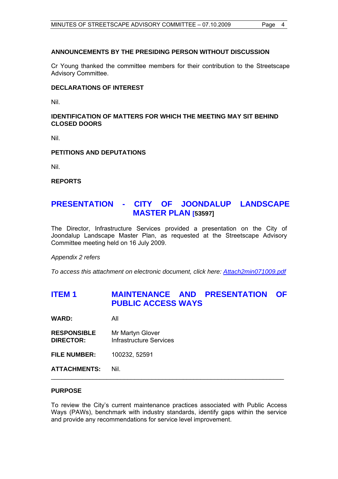# <span id="page-3-0"></span>**ANNOUNCEMENTS BY THE PRESIDING PERSON WITHOUT DISCUSSION**

Cr Young thanked the committee members for their contribution to the Streetscape Advisory Committee.

# **DECLARATIONS OF INTEREST**

Nil.

**IDENTIFICATION OF MATTERS FOR WHICH THE MEETING MAY SIT BEHIND CLOSED DOORS** 

Nil.

# **PETITIONS AND DEPUTATIONS**

Nil.

**REPORTS** 

# **PRESENTATION - CITY OF JOONDALUP LANDSCAPE MASTER PLAN [53597]**

The Director, Infrastructure Services provided a presentation on the City of Joondalup Landscape Master Plan, as requested at the Streetscape Advisory Committee meeting held on 16 July 2009.

*Appendix 2 refers* 

*To access this attachment on electronic document, click here: <Attach2min071009.pdf>*

# **ITEM 1 MAINTENANCE AND PRESENTATION OF PUBLIC ACCESS WAYS**

**WARD:** All

- **RESPONSIBLE** Mr Martyn Glover **DIRECTOR:** Infrastructure Services
- **FILE NUMBER:** 100232, 52591

**ATTACHMENTS:** Nil.

# **PURPOSE**

To review the City's current maintenance practices associated with Public Access Ways (PAWs), benchmark with industry standards, identify gaps within the service and provide any recommendations for service level improvement.

\_\_\_\_\_\_\_\_\_\_\_\_\_\_\_\_\_\_\_\_\_\_\_\_\_\_\_\_\_\_\_\_\_\_\_\_\_\_\_\_\_\_\_\_\_\_\_\_\_\_\_\_\_\_\_\_\_\_\_\_\_\_\_\_\_\_\_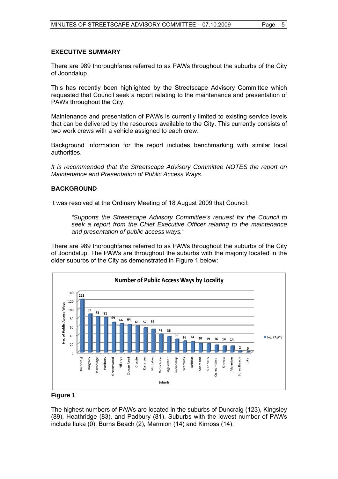# **EXECUTIVE SUMMARY**

There are 989 thoroughfares referred to as PAWs throughout the suburbs of the City of Joondalup.

This has recently been highlighted by the Streetscape Advisory Committee which requested that Council seek a report relating to the maintenance and presentation of PAWs throughout the City.

Maintenance and presentation of PAWs is currently limited to existing service levels that can be delivered by the resources available to the City. This currently consists of two work crews with a vehicle assigned to each crew.

Background information for the report includes benchmarking with similar local authorities.

*It is recommended that the Streetscape Advisory Committee NOTES the report on Maintenance and Presentation of Public Access Ways.* 

#### **BACKGROUND**

It was resolved at the Ordinary Meeting of 18 August 2009 that Council:

*"Supports the Streetscape Advisory Committee's request for the Council to seek a report from the Chief Executive Officer relating to the maintenance and presentation of public access ways."* 

There are 989 thoroughfares referred to as PAWs throughout the suburbs of the City of Joondalup. The PAWs are throughout the suburbs with the majority located in the older suburbs of the City as demonstrated in Figure 1 below:



#### **Figure 1**

The highest numbers of PAWs are located in the suburbs of Duncraig (123), Kingsley (89), Heathridge (83), and Padbury (81). Suburbs with the lowest number of PAWs include Iluka (0), Burns Beach (2), Marmion (14) and Kinross (14).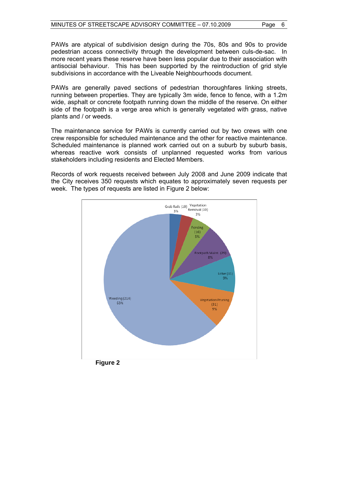PAWs are atypical of subdivision design during the 70s, 80s and 90s to provide pedestrian access connectivity through the development between culs-de-sac. In more recent years these reserve have been less popular due to their association with antisocial behaviour. This has been supported by the reintroduction of grid style subdivisions in accordance with the Liveable Neighbourhoods document.

PAWs are generally paved sections of pedestrian thoroughfares linking streets, running between properties. They are typically 3m wide, fence to fence, with a 1.2m wide, asphalt or concrete footpath running down the middle of the reserve. On either side of the footpath is a verge area which is generally vegetated with grass, native plants and / or weeds.

The maintenance service for PAWs is currently carried out by two crews with one crew responsible for scheduled maintenance and the other for reactive maintenance. Scheduled maintenance is planned work carried out on a suburb by suburb basis, whereas reactive work consists of unplanned requested works from various stakeholders including residents and Elected Members.

Records of work requests received between July 2008 and June 2009 indicate that the City receives 350 requests which equates to approximately seven requests per week. The types of requests are listed in Figure 2 below:

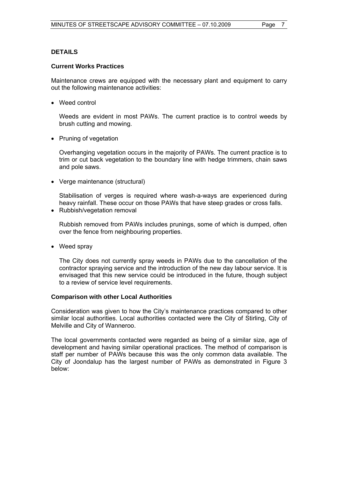# **DETAILS**

## **Current Works Practices**

Maintenance crews are equipped with the necessary plant and equipment to carry out the following maintenance activities:

• Weed control

Weeds are evident in most PAWs. The current practice is to control weeds by brush cutting and mowing.

• Pruning of vegetation

Overhanging vegetation occurs in the majority of PAWs. The current practice is to trim or cut back vegetation to the boundary line with hedge trimmers, chain saws and pole saws.

Verge maintenance (structural)

Stabilisation of verges is required where wash-a-ways are experienced during heavy rainfall. These occur on those PAWs that have steep grades or cross falls.

• Rubbish/vegetation removal

Rubbish removed from PAWs includes prunings, some of which is dumped, often over the fence from neighbouring properties.

• Weed spray

The City does not currently spray weeds in PAWs due to the cancellation of the contractor spraying service and the introduction of the new day labour service. It is envisaged that this new service could be introduced in the future, though subject to a review of service level requirements.

#### **Comparison with other Local Authorities**

Consideration was given to how the City's maintenance practices compared to other similar local authorities. Local authorities contacted were the City of Stirling, City of Melville and City of Wanneroo.

The local governments contacted were regarded as being of a similar size, age of development and having similar operational practices. The method of comparison is staff per number of PAWs because this was the only common data available. The City of Joondalup has the largest number of PAWs as demonstrated in Figure 3 below: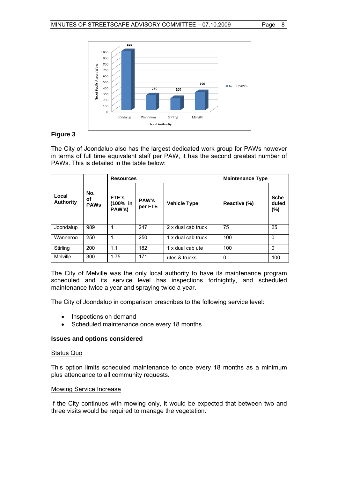

# **Figure 3**

The City of Joondalup also has the largest dedicated work group for PAWs however in terms of full time equivalent staff per PAW, it has the second greatest number of PAWs. This is detailed in the table below:

|                           |                          | <b>Resources</b>            |                         | <b>Maintenance Type</b> |              |                                |  |
|---------------------------|--------------------------|-----------------------------|-------------------------|-------------------------|--------------|--------------------------------|--|
| Local<br><b>Authority</b> | No.<br>οf<br><b>PAWs</b> | FTE's<br>(100% in<br>PAW's) | <b>PAW's</b><br>per FTE | <b>Vehicle Type</b>     | Reactive (%) | <b>Sche</b><br>duled<br>$(\%)$ |  |
| Joondalup                 | 989                      | $\overline{4}$              | 247                     | 2 x dual cab truck      | 75           | 25                             |  |
| Wanneroo                  | 250                      | 1                           | 250                     | 1 x dual cab truck      | 100          | $\Omega$                       |  |
| Stirling                  | 200                      | 1.1                         | 182                     | 1 x dual cab ute        | 100          | $\Omega$                       |  |
| Melville                  | 300                      | 1.75                        | 171                     | utes & trucks           | 0            | 100                            |  |

The City of Melville was the only local authority to have its maintenance program scheduled and its service level has inspections fortnightly, and scheduled maintenance twice a year and spraying twice a year.

The City of Joondalup in comparison prescribes to the following service level:

- Inspections on demand
- Scheduled maintenance once every 18 months

## **Issues and options considered**

#### Status Quo

This option limits scheduled maintenance to once every 18 months as a minimum plus attendance to all community requests.

## Mowing Service Increase

If the City continues with mowing only, it would be expected that between two and three visits would be required to manage the vegetation.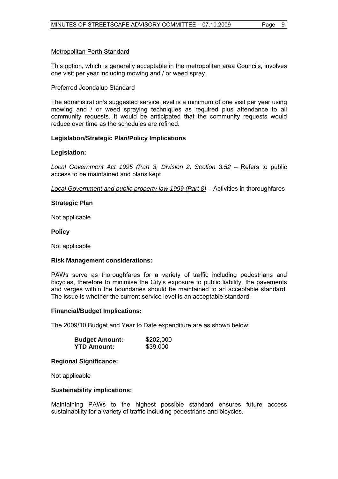# Metropolitan Perth Standard

This option, which is generally acceptable in the metropolitan area Councils, involves one visit per year including mowing and / or weed spray.

#### Preferred Joondalup Standard

The administration's suggested service level is a minimum of one visit per year using mowing and / or weed spraying techniques as required plus attendance to all community requests. It would be anticipated that the community requests would reduce over time as the schedules are refined.

#### **Legislation/Strategic Plan/Policy Implications**

#### **Legislation:**

*Local Government Act 1995 (Part 3, Division 2, Section 3.52* – Refers to public access to be maintained and plans kept

*Local Government and public property law 1999 (Part 8)* – Activities in thoroughfares

#### **Strategic Plan**

Not applicable

**Policy** 

Not applicable

#### **Risk Management considerations:**

PAWs serve as thoroughfares for a variety of traffic including pedestrians and bicycles, therefore to minimise the City's exposure to public liability, the pavements and verges within the boundaries should be maintained to an acceptable standard. The issue is whether the current service level is an acceptable standard.

#### **Financial/Budget Implications:**

The 2009/10 Budget and Year to Date expenditure are as shown below:

| <b>Budget Amount:</b> | \$202,000 |
|-----------------------|-----------|
| <b>YTD Amount:</b>    | \$39,000  |

#### **Regional Significance:**

Not applicable

#### **Sustainability implications:**

Maintaining PAWs to the highest possible standard ensures future access sustainability for a variety of traffic including pedestrians and bicycles.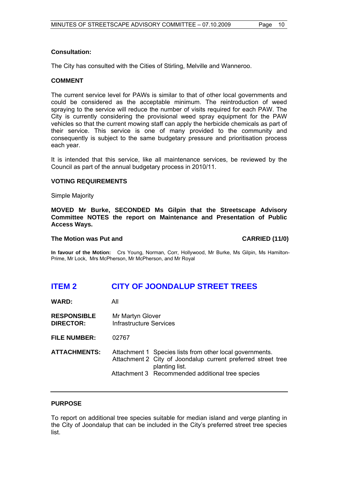# <span id="page-9-0"></span>**Consultation:**

The City has consulted with the Cities of Stirling, Melville and Wanneroo.

## **COMMENT**

The current service level for PAWs is similar to that of other local governments and could be considered as the acceptable minimum. The reintroduction of weed spraying to the service will reduce the number of visits required for each PAW. The City is currently considering the provisional weed spray equipment for the PAW vehicles so that the current mowing staff can apply the herbicide chemicals as part of their service. This service is one of many provided to the community and consequently is subject to the same budgetary pressure and prioritisation process each year.

It is intended that this service, like all maintenance services, be reviewed by the Council as part of the annual budgetary process in 2010/11.

#### **VOTING REQUIREMENTS**

Simple Majority

**MOVED Mr Burke, SECONDED Ms Gilpin that the Streetscape Advisory Committee NOTES the report on Maintenance and Presentation of Public Access Ways.** 

#### **The Motion was Put and CARRIED (11/0)**

**In favour of the Motion:** Crs Young, Norman, Corr, Hollywood, Mr Burke, Ms Gilpin, Ms Hamilton-Prime, Mr Lock, Mrs McPherson, Mr McPherson, and Mr Royal

# **ITEM 2 CITY OF JOONDALUP STREET TREES**

**WARD:** All

- **RESPONSIBLE** Mr Martyn Glover **DIRECTOR:** Infrastructure Services
- **FILE NUMBER:** 02767
- **ATTACHMENTS:** Attachment 1 Species lists from other local governments. Attachment 2 City of Joondalup current preferred street tree planting list. Attachment 3 Recommended additional tree species

#### **PURPOSE**

To report on additional tree species suitable for median island and verge planting in the City of Joondalup that can be included in the City's preferred street tree species list.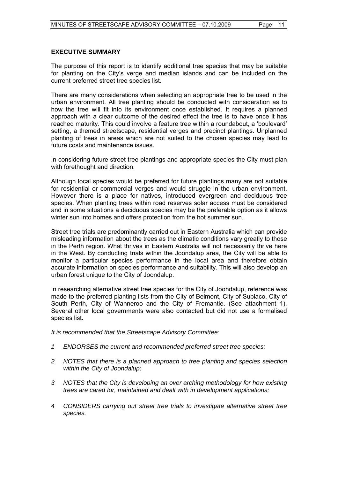# **EXECUTIVE SUMMARY**

The purpose of this report is to identify additional tree species that may be suitable for planting on the City's verge and median islands and can be included on the current preferred street tree species list.

There are many considerations when selecting an appropriate tree to be used in the urban environment. All tree planting should be conducted with consideration as to how the tree will fit into its environment once established. It requires a planned approach with a clear outcome of the desired effect the tree is to have once it has reached maturity. This could involve a feature tree within a roundabout, a 'boulevard' setting, a themed streetscape, residential verges and precinct plantings. Unplanned planting of trees in areas which are not suited to the chosen species may lead to future costs and maintenance issues.

In considering future street tree plantings and appropriate species the City must plan with forethought and direction.

Although local species would be preferred for future plantings many are not suitable for residential or commercial verges and would struggle in the urban environment. However there is a place for natives, introduced evergreen and deciduous tree species. When planting trees within road reserves solar access must be considered and in some situations a deciduous species may be the preferable option as it allows winter sun into homes and offers protection from the hot summer sun.

Street tree trials are predominantly carried out in Eastern Australia which can provide misleading information about the trees as the climatic conditions vary greatly to those in the Perth region. What thrives in Eastern Australia will not necessarily thrive here in the West. By conducting trials within the Joondalup area, the City will be able to monitor a particular species performance in the local area and therefore obtain accurate information on species performance and suitability. This will also develop an urban forest unique to the City of Joondalup.

In researching alternative street tree species for the City of Joondalup, reference was made to the preferred planting lists from the City of Belmont, City of Subiaco, City of South Perth, City of Wanneroo and the City of Fremantle. (See attachment 1). Several other local governments were also contacted but did not use a formalised species list.

*It is recommended that the Streetscape Advisory Committee:* 

- *1 ENDORSES the current and recommended preferred street tree species;*
- *2 NOTES that there is a planned approach to tree planting and species selection within the City of Joondalup;*
- *3 NOTES that the City is developing an over arching methodology for how existing trees are cared for, maintained and dealt with in development applications;*
- *4 CONSIDERS carrying out street tree trials to investigate alternative street tree species.*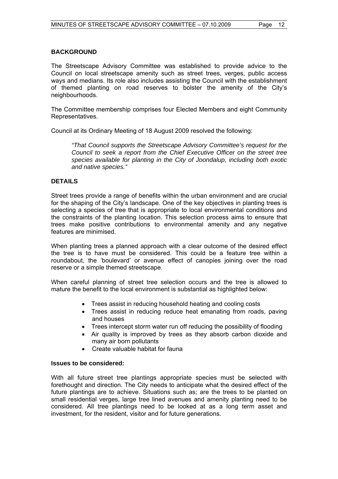# **BACKGROUND**

The Streetscape Advisory Committee was established to provide advice to the Council on local streetscape amenity such as street trees, verges, public access ways and medians. Its role also includes assisting the Council with the establishment of themed planting on road reserves to bolster the amenity of the City's neighbourhoods.

The Committee membership comprises four Elected Members and eight Community Representatives.

Council at its Ordinary Meeting of 18 August 2009 resolved the following:

*"That Council supports the Streetscape Advisory Committee's request for the Council to seek a report from the Chief Executive Officer on the street tree species available for planting in the City of Joondalup, including both exotic and native species."* 

# **DETAILS**

Street trees provide a range of benefits within the urban environment and are crucial for the shaping of the City's landscape. One of the key objectives in planting trees is selecting a species of tree that is appropriate to local environmental conditions and the constraints of the planting location. This selection process aims to ensure that trees make positive contributions to environmental amenity and any negative features are minimised.

When planting trees a planned approach with a clear outcome of the desired effect the tree is to have must be considered. This could be a feature tree within a roundabout, the 'boulevard' or avenue effect of canopies joining over the road reserve or a simple themed streetscape.

When careful planning of street tree selection occurs and the tree is allowed to mature the benefit to the local environment is substantial as highlighted below:

- Trees assist in reducing household heating and cooling costs
- Trees assist in reducing reduce heat emanating from roads, paving and houses
- Trees intercept storm water run off reducing the possibility of flooding
- Air quality is improved by trees as they absorb carbon dioxide and many air born pollutants
- Create valuable habitat for fauna

#### **Issues to be considered:**

With all future street tree plantings appropriate species must be selected with forethought and direction. The City needs to anticipate what the desired effect of the future plantings are to achieve. Situations such as; are the trees to be planted on small residential verges, large tree lined avenues and amenity planting need to be considered. All tree plantings need to be looked at as a long term asset and investment, for the resident, visitor and for future generations.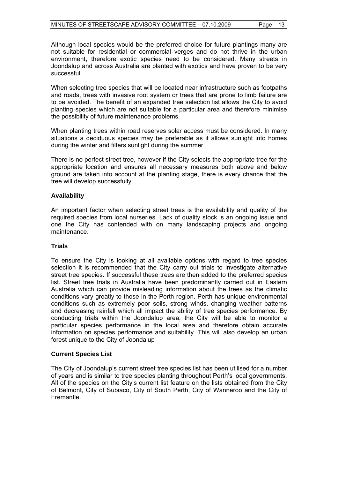Although local species would be the preferred choice for future plantings many are not suitable for residential or commercial verges and do not thrive in the urban environment, therefore exotic species need to be considered. Many streets in Joondalup and across Australia are planted with exotics and have proven to be very successful.

When selecting tree species that will be located near infrastructure such as footpaths and roads, trees with invasive root system or trees that are prone to limb failure are to be avoided. The benefit of an expanded tree selection list allows the City to avoid planting species which are not suitable for a particular area and therefore minimise the possibility of future maintenance problems.

When planting trees within road reserves solar access must be considered. In many situations a deciduous species may be preferable as it allows sunlight into homes during the winter and filters sunlight during the summer.

There is no perfect street tree, however if the City selects the appropriate tree for the appropriate location and ensures all necessary measures both above and below ground are taken into account at the planting stage, there is every chance that the tree will develop successfully.

# **Availability**

An important factor when selecting street trees is the availability and quality of the required species from local nurseries. Lack of quality stock is an ongoing issue and one the City has contended with on many landscaping projects and ongoing maintenance.

#### **Trials**

To ensure the City is looking at all available options with regard to tree species selection it is recommended that the City carry out trials to investigate alternative street tree species. If successful these trees are then added to the preferred species list. Street tree trials in Australia have been predominantly carried out in Eastern Australia which can provide misleading information about the trees as the climatic conditions vary greatly to those in the Perth region. Perth has unique environmental conditions such as extremely poor soils, strong winds, changing weather patterns and decreasing rainfall which all impact the ability of tree species performance. By conducting trials within the Joondalup area, the City will be able to monitor a particular species performance in the local area and therefore obtain accurate information on species performance and suitability. This will also develop an urban forest unique to the City of Joondalup

#### **Current Species List**

The City of Joondalup's current street tree species list has been utilised for a number of years and is similar to tree species planting throughout Perth's local governments. All of the species on the City's current list feature on the lists obtained from the City of Belmont, City of Subiaco, City of South Perth, City of Wanneroo and the City of Fremantle.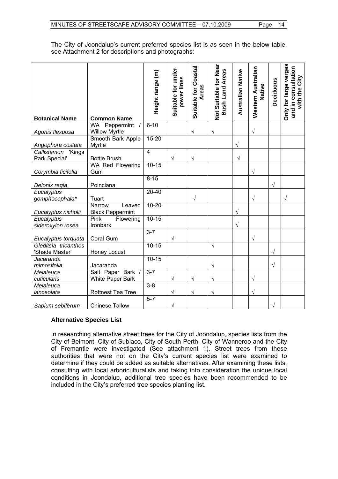The City of Joondalup's current preferred species list is as seen in the below table, see Attachment 2 for descriptions and photographs:

| <b>Botanical Name</b>                  | <b>Common Name</b>                          | Height range (m) | Suitable for under<br>power lines | Suitable for Coastal<br>Areas | Not Suitable for Near<br><b>Areas</b><br><b>Bush Land</b> | <b>Australian Native</b> | Western Australian<br>Native | Deciduous | Only for large verges<br>and in consultation<br>with the City |
|----------------------------------------|---------------------------------------------|------------------|-----------------------------------|-------------------------------|-----------------------------------------------------------|--------------------------|------------------------------|-----------|---------------------------------------------------------------|
| Agonis flexuosa                        | WA Peppermint<br><b>Willow Myrtle</b>       | $6 - 10$         |                                   | $\sqrt{}$                     | $\sqrt{}$                                                 |                          | $\sqrt{}$                    |           |                                                               |
| Angophora costata                      | Smooth Bark Apple<br>Myrtle                 | $15 - 20$        |                                   |                               |                                                           | $\sqrt{}$                |                              |           |                                                               |
| Callistemon<br>'Kings<br>Park Special' | <b>Bottle Brush</b>                         | $\overline{4}$   | $\sqrt{}$                         | $\sqrt{}$                     |                                                           | $\sqrt{}$                |                              |           |                                                               |
| Corymbia ficifolia                     | WA Red Flowering<br>Gum                     | $10 - 15$        |                                   |                               |                                                           |                          | $\sqrt{}$                    |           |                                                               |
| Delonix regia                          | Poinciana                                   | $8 - 15$         |                                   |                               |                                                           |                          |                              | $\sqrt{}$ |                                                               |
| Eucalyptus<br>gomphocephala*           | Tuart                                       | $20 - 40$        |                                   | V                             |                                                           |                          | V                            |           | V                                                             |
| Eucalyptus nicholii                    | Narrow<br>Leaved<br><b>Black Peppermint</b> | $10 - 20$        |                                   |                               |                                                           | $\sqrt{}$                |                              |           |                                                               |
| Eucalyptus<br>sideroxylon rosea        | Pink<br>Flowering<br>Ironbark               | $10 - 15$        |                                   |                               |                                                           | $\sqrt{}$                |                              |           |                                                               |
| Eucalyptus torquata                    | Coral Gum                                   | $3 - 7$          | $\sqrt{}$                         |                               |                                                           |                          | V                            |           |                                                               |
| Gleditsia tricanthos<br>'Shade Master' | Honey Locust                                | $10 - 15$        |                                   |                               | $\sqrt{ }$                                                |                          |                              | $\sqrt{}$ |                                                               |
| Jacaranda<br>mimosifolia               | Jacaranda                                   | $10-15$          |                                   |                               | V                                                         |                          |                              | $\sqrt{}$ |                                                               |
| Melaleuca<br>cuticularis               | Salt Paper Bark /<br>White Paper Bark       | $3 - 7$          | $\sqrt{}$                         | V                             | V                                                         |                          | $\sqrt{}$                    |           |                                                               |
| Melaleuca<br>lanceolata                | Rottnest Tea Tree                           | $3 - 8$          | $\sqrt{}$                         | $\sqrt{}$                     | V                                                         |                          | $\sqrt{}$                    |           |                                                               |
| Sapium sebiferum                       | <b>Chinese Tallow</b>                       | $5 - 7$          | $\sqrt{}$                         |                               |                                                           |                          |                              | $\sqrt{}$ |                                                               |

# **Alternative Species List**

In researching alternative street trees for the City of Joondalup, species lists from the City of Belmont, City of Subiaco, City of South Perth, City of Wanneroo and the City of Fremantle were investigated (See attachment 1). Street trees from these authorities that were not on the City's current species list were examined to determine if they could be added as suitable alternatives. After examining these lists, consulting with local arboriculturalists and taking into consideration the unique local conditions in Joondalup, additional tree species have been recommended to be included in the City's preferred tree species planting list.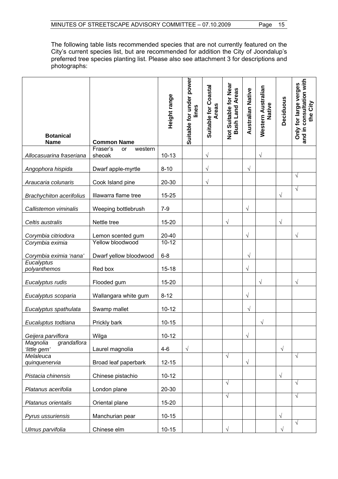The following table lists recommended species that are not currently featured on the City's current species list, but are recommended for addition the City of Joondalup's preferred tree species planting list. Please also see attachment 3 for descriptions and photographs:

| <b>Botanical</b><br><b>Name</b>         | <b>Common Name</b>                    | Height range       | Suitable for under power<br>lines | Suitable for Coastal<br><b>Areas</b> | Not Suitable for Near<br><b>Bush Land Areas</b> | <b>Australian Native</b> | Western Australian<br>Native | Deciduous  | consultation with<br>Only for large verges<br>the City<br>and in |
|-----------------------------------------|---------------------------------------|--------------------|-----------------------------------|--------------------------------------|-------------------------------------------------|--------------------------|------------------------------|------------|------------------------------------------------------------------|
| Allocasuarina fraseriana                | Fraser's<br>western<br>or<br>sheoak   | $10 - 13$          |                                   | $\sqrt{ }$                           |                                                 |                          | $\sqrt{ }$                   |            |                                                                  |
| Angophora hispida                       | Dwarf apple-myrtle                    | $8 - 10$           |                                   | $\sqrt{ }$                           |                                                 | $\sqrt{}$                |                              |            |                                                                  |
| Araucaria colunaris                     | Cook Island pine                      | 20-30              |                                   | $\sqrt{}$                            |                                                 |                          |                              |            | $\sqrt{ }$                                                       |
| <b>Brachychiton acerifolius</b>         | Illawarra flame tree                  | 15-25              |                                   |                                      |                                                 |                          |                              | $\sqrt{}$  | $\sqrt{ }$                                                       |
| Callistemon viminalis                   | Weeping bottlebrush                   | $7 - 9$            |                                   |                                      |                                                 | $\sqrt{}$                |                              |            |                                                                  |
| Celtis australis                        | Nettle tree                           | 15-20              |                                   |                                      | V                                               |                          |                              | $\sqrt{}$  |                                                                  |
| Corymbia citriodora<br>Corymbia eximia  | Lemon scented gum<br>Yellow bloodwood | 20-40<br>$10 - 12$ |                                   |                                      |                                                 | $\sqrt{}$                |                              |            | V                                                                |
| Corymbia eximia 'nana'                  | Dwarf yellow bloodwood                | $6 - 8$            |                                   |                                      |                                                 | $\sqrt{}$                |                              |            |                                                                  |
| Eucalyptus<br>polyanthemos              | Red box                               | $15 - 18$          |                                   |                                      |                                                 | $\sqrt{}$                |                              |            |                                                                  |
| Eucalyptus rudis                        | Flooded gum                           | $15 - 20$          |                                   |                                      |                                                 |                          | $\sqrt{}$                    |            | $\sqrt{}$                                                        |
| Eucalyptus scoparia                     | Wallangara white gum                  | $8 - 12$           |                                   |                                      |                                                 | $\sqrt{}$                |                              |            |                                                                  |
| Eucalyptus spathulata                   | Swamp mallet                          | $10 - 12$          |                                   |                                      |                                                 | $\sqrt{}$                |                              |            |                                                                  |
| Eucaluptus todtiana                     | Prickly bark                          | $10 - 15$          |                                   |                                      |                                                 |                          | $\sqrt{}$                    |            |                                                                  |
| Geijera parviflora                      | Wilga                                 | $10 - 12$          |                                   |                                      |                                                 | $\sqrt{}$                |                              |            |                                                                  |
| Magnolia<br>grandaflora<br>'little gem' | Laurel magnolia                       | $4-6$              | $\sqrt{}$                         |                                      |                                                 |                          |                              | $\sqrt{ }$ |                                                                  |
| Melaleuca<br>quinquenervia              | Broad leaf paperbark                  | $12 - 15$          |                                   |                                      | $\sqrt{}$                                       | $\sqrt{}$                |                              |            | $\sqrt{ }$                                                       |
| Pistacia chinensis                      | Chinese pistachio                     | $10 - 12$          |                                   |                                      |                                                 |                          |                              | $\sqrt{}$  |                                                                  |
| Platanus acerifolia                     | London plane                          | $20 - 30$          |                                   |                                      | $\sqrt{}$                                       |                          |                              |            | $\sqrt{ }$                                                       |
| Platanus orientalis                     | Oriental plane                        | $15 - 20$          |                                   |                                      | $\sqrt{ }$                                      |                          |                              |            | $\sqrt{ }$                                                       |
| Pyrus ussuriensis                       | Manchurian pear                       | $10 - 15$          |                                   |                                      |                                                 |                          |                              | $\sqrt{}$  |                                                                  |
| Ulmus parvifolia                        | Chinese elm                           | $10 - 15$          |                                   |                                      | $\sqrt{}$                                       |                          |                              | $\sqrt{}$  | $\sqrt{ }$                                                       |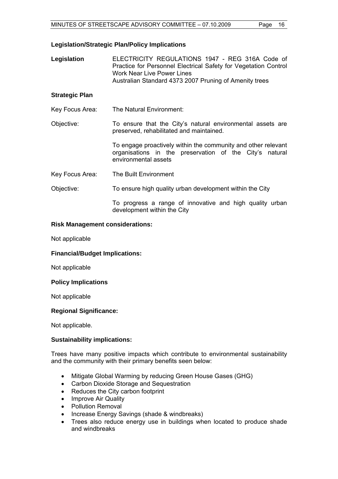# **Legislation/Strategic Plan/Policy Implications**

**Legislation** ELECTRICITY REGULATIONS 1947 - REG 316A Code of Practice for Personnel Electrical Safety for Vegetation Control Work Near Live Power Lines Australian Standard 4373 2007 Pruning of Amenity trees

# **Strategic Plan**

- Key Focus Area: The Natural Environment:
- Objective: To ensure that the City's natural environmental assets are preserved, rehabilitated and maintained.

To engage proactively within the community and other relevant organisations in the preservation of the City's natural environmental assets

- Key Focus Area: The Built Environment
- Objective: To ensure high quality urban development within the City

To progress a range of innovative and high quality urban development within the City

#### **Risk Management considerations:**

Not applicable

# **Financial/Budget Implications:**

Not applicable

#### **Policy Implications**

Not applicable

# **Regional Significance:**

Not applicable.

#### **Sustainability implications:**

Trees have many positive impacts which contribute to environmental sustainability and the community with their primary benefits seen below:

- Mitigate Global Warming by reducing Green House Gases (GHG)
- Carbon Dioxide Storage and Sequestration
- Reduces the City carbon footprint
- Improve Air Quality
- Pollution Removal
- Increase Energy Savings (shade & windbreaks)
- Trees also reduce energy use in buildings when located to produce shade and windbreaks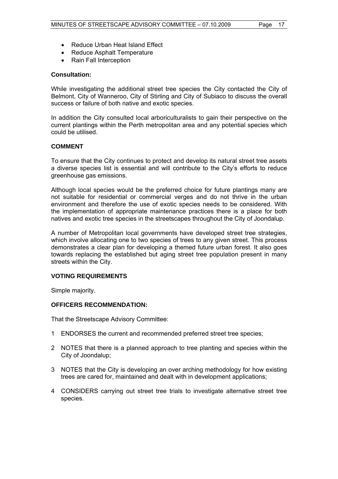- Reduce Urban Heat Island Effect
- Reduce Asphalt Temperature
- Rain Fall Interception

#### **Consultation:**

While investigating the additional street tree species the City contacted the City of Belmont, City of Wanneroo, City of Stirling and City of Subiaco to discuss the overall success or failure of both native and exotic species.

In addition the City consulted local arboriculturalists to gain their perspective on the current plantings within the Perth metropolitan area and any potential species which could be utilised.

# **COMMENT**

To ensure that the City continues to protect and develop its natural street tree assets a diverse species list is essential and will contribute to the City's efforts to reduce greenhouse gas emissions.

Although local species would be the preferred choice for future plantings many are not suitable for residential or commercial verges and do not thrive in the urban environment and therefore the use of exotic species needs to be considered. With the implementation of appropriate maintenance practices there is a place for both natives and exotic tree species in the streetscapes throughout the City of Joondalup.

A number of Metropolitan local governments have developed street tree strategies, which involve allocating one to two species of trees to any given street. This process demonstrates a clear plan for developing a themed future urban forest. It also goes towards replacing the established but aging street tree population present in many streets within the City.

# **VOTING REQUIREMENTS**

Simple majority.

#### **OFFICERS RECOMMENDATION:**

That the Streetscape Advisory Committee:

- 1 ENDORSES the current and recommended preferred street tree species;
- 2 NOTES that there is a planned approach to tree planting and species within the City of Joondalup;
- 3 NOTES that the City is developing an over arching methodology for how existing trees are cared for, maintained and dealt with in development applications;
- 4 CONSIDERS carrying out street tree trials to investigate alternative street tree species.